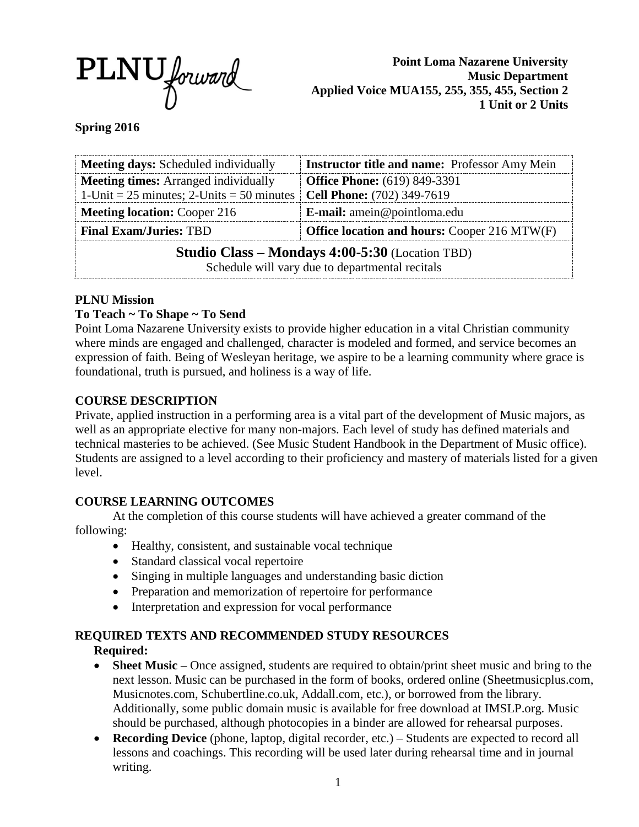

**Point Loma Nazarene University Music Department Applied Voice MUA155, 255, 355, 455, Section 2 1 Unit or 2 Units**

### **Spring 2016**

| <b>Meeting days:</b> Scheduled individually                                                               | <b>Instructor title and name:</b> Professor Amy Mein |
|-----------------------------------------------------------------------------------------------------------|------------------------------------------------------|
| <b>Meeting times:</b> Arranged individually                                                               | <b>Office Phone:</b> (619) 849-3391                  |
| 1-Unit = 25 minutes; 2-Units = 50 minutes   Cell Phone: $(702)$ 349-7619                                  |                                                      |
| <b>Meeting location: Cooper 216</b>                                                                       | <b>E-mail:</b> amein@pointloma.edu                   |
| <b>Final Exam/Juries: TBD</b>                                                                             | <b>Office location and hours: Cooper 216 MTW(F)</b>  |
| <b>Studio Class – Mondays 4:00-5:30</b> (Location TBD)<br>Schedule will vary due to departmental recitals |                                                      |

### **PLNU Mission**

### **To Teach ~ To Shape ~ To Send**

Point Loma Nazarene University exists to provide higher education in a vital Christian community where minds are engaged and challenged, character is modeled and formed, and service becomes an expression of faith. Being of Wesleyan heritage, we aspire to be a learning community where grace is foundational, truth is pursued, and holiness is a way of life.

### **COURSE DESCRIPTION**

Private, applied instruction in a performing area is a vital part of the development of Music majors, as well as an appropriate elective for many non-majors. Each level of study has defined materials and technical masteries to be achieved. (See Music Student Handbook in the Department of Music office). Students are assigned to a level according to their proficiency and mastery of materials listed for a given level.

### **COURSE LEARNING OUTCOMES**

At the completion of this course students will have achieved a greater command of the following:

- Healthy, consistent, and sustainable vocal technique
- Standard classical vocal repertoire
- Singing in multiple languages and understanding basic diction
- Preparation and memorization of repertoire for performance
- Interpretation and expression for vocal performance

### **REQUIRED TEXTS AND RECOMMENDED STUDY RESOURCES**

### **Required:**

- **Sheet Music** Once assigned, students are required to obtain/print sheet music and bring to the next lesson. Music can be purchased in the form of books, ordered online (Sheetmusicplus.com, Musicnotes.com, Schubertline.co.uk, Addall.com, etc.), or borrowed from the library. Additionally, some public domain music is available for free download at IMSLP.org. Music should be purchased, although photocopies in a binder are allowed for rehearsal purposes.
- **Recording Device** (phone, laptop, digital recorder, etc.) Students are expected to record all lessons and coachings. This recording will be used later during rehearsal time and in journal writing.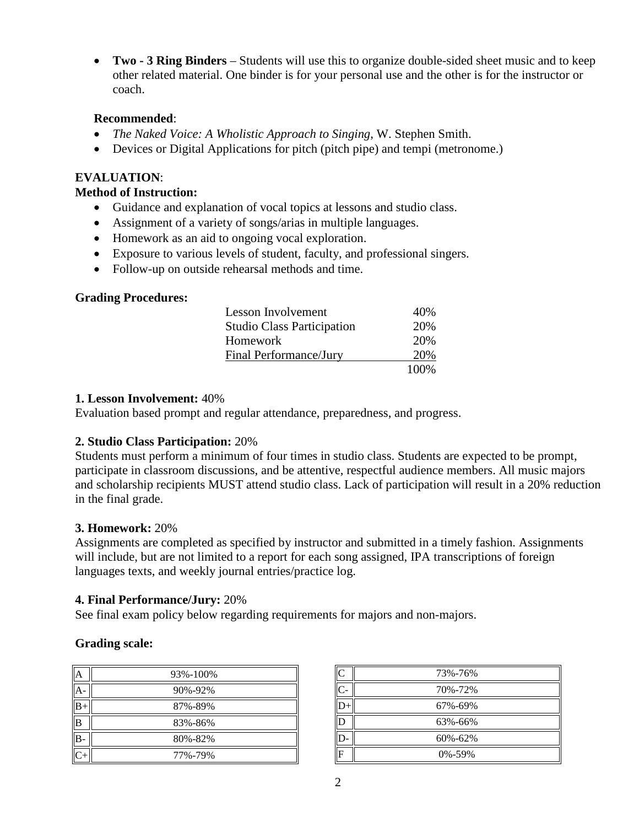• **Two - 3 Ring Binders** – Students will use this to organize double-sided sheet music and to keep other related material. One binder is for your personal use and the other is for the instructor or coach.

### **Recommended**:

- *The Naked Voice: A Wholistic Approach to Singing*, W. Stephen Smith.
- Devices or Digital Applications for pitch (pitch pipe) and tempi (metronome.)

### **EVALUATION**:

### **Method of Instruction:**

- Guidance and explanation of vocal topics at lessons and studio class.
- Assignment of a variety of songs/arias in multiple languages.
- Homework as an aid to ongoing vocal exploration.
- Exposure to various levels of student, faculty, and professional singers.
- Follow-up on outside rehearsal methods and time.

## **Grading Procedures:**

| Lesson Involvement                | 40%   |
|-----------------------------------|-------|
| <b>Studio Class Participation</b> | 20%   |
| Homework                          | 20%   |
| Final Performance/Jury            | 20%   |
|                                   | 100\% |

## **1. Lesson Involvement:** 40%

Evaluation based prompt and regular attendance, preparedness, and progress.

## **2. Studio Class Participation:** 20%

Students must perform a minimum of four times in studio class. Students are expected to be prompt, participate in classroom discussions, and be attentive, respectful audience members. All music majors and scholarship recipients MUST attend studio class. Lack of participation will result in a 20% reduction in the final grade.

### **3. Homework:** 20%

Assignments are completed as specified by instructor and submitted in a timely fashion. Assignments will include, but are not limited to a report for each song assigned, IPA transcriptions of foreign languages texts, and weekly journal entries/practice log.

### **4. Final Performance/Jury:** 20%

See final exam policy below regarding requirements for majors and non-majors.

## **Grading scale:**

| A   | 93%-100% |
|-----|----------|
| A   | 90%-92%  |
| B+  | 87%-89%  |
| B   | 83%-86%  |
| 'B- | 80%-82%  |
|     | 77%-79%  |

| C  | 73%-76%      |
|----|--------------|
| C- | 70%-72%      |
|    | 67%-69%      |
| D  | 63%-66%      |
| D- | 60%-62%      |
| F  | $0\% - 59\%$ |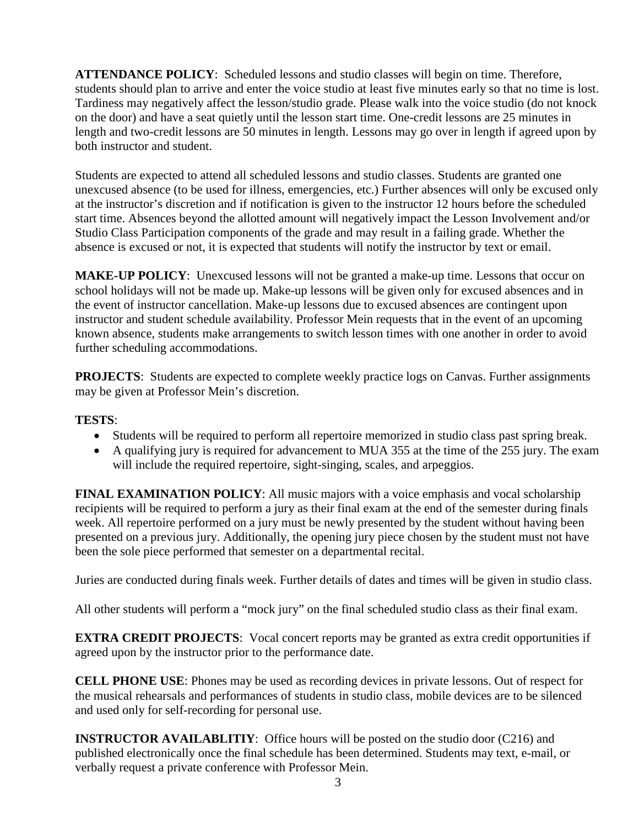**ATTENDANCE POLICY**: Scheduled lessons and studio classes will begin on time. Therefore, students should plan to arrive and enter the voice studio at least five minutes early so that no time is lost. Tardiness may negatively affect the lesson/studio grade. Please walk into the voice studio (do not knock on the door) and have a seat quietly until the lesson start time. One-credit lessons are 25 minutes in length and two-credit lessons are 50 minutes in length. Lessons may go over in length if agreed upon by both instructor and student.

Students are expected to attend all scheduled lessons and studio classes. Students are granted one unexcused absence (to be used for illness, emergencies, etc.) Further absences will only be excused only at the instructor's discretion and if notification is given to the instructor 12 hours before the scheduled start time. Absences beyond the allotted amount will negatively impact the Lesson Involvement and/or Studio Class Participation components of the grade and may result in a failing grade. Whether the absence is excused or not, it is expected that students will notify the instructor by text or email.

**MAKE-UP POLICY**: Unexcused lessons will not be granted a make-up time. Lessons that occur on school holidays will not be made up. Make-up lessons will be given only for excused absences and in the event of instructor cancellation. Make-up lessons due to excused absences are contingent upon instructor and student schedule availability. Professor Mein requests that in the event of an upcoming known absence, students make arrangements to switch lesson times with one another in order to avoid further scheduling accommodations.

**PROJECTS:** Students are expected to complete weekly practice logs on Canvas. Further assignments may be given at Professor Mein's discretion.

### **TESTS**:

- Students will be required to perform all repertoire memorized in studio class past spring break.
- A qualifying jury is required for advancement to MUA 355 at the time of the 255 jury. The exam will include the required repertoire, sight-singing, scales, and arpeggios.

**FINAL EXAMINATION POLICY**: All music majors with a voice emphasis and vocal scholarship recipients will be required to perform a jury as their final exam at the end of the semester during finals week. All repertoire performed on a jury must be newly presented by the student without having been presented on a previous jury. Additionally, the opening jury piece chosen by the student must not have been the sole piece performed that semester on a departmental recital.

Juries are conducted during finals week. Further details of dates and times will be given in studio class.

All other students will perform a "mock jury" on the final scheduled studio class as their final exam.

**EXTRA CREDIT PROJECTS:** Vocal concert reports may be granted as extra credit opportunities if agreed upon by the instructor prior to the performance date.

**CELL PHONE USE**: Phones may be used as recording devices in private lessons. Out of respect for the musical rehearsals and performances of students in studio class, mobile devices are to be silenced and used only for self-recording for personal use.

**INSTRUCTOR AVAILABLITIY:** Office hours will be posted on the studio door (C216) and published electronically once the final schedule has been determined. Students may text, e-mail, or verbally request a private conference with Professor Mein.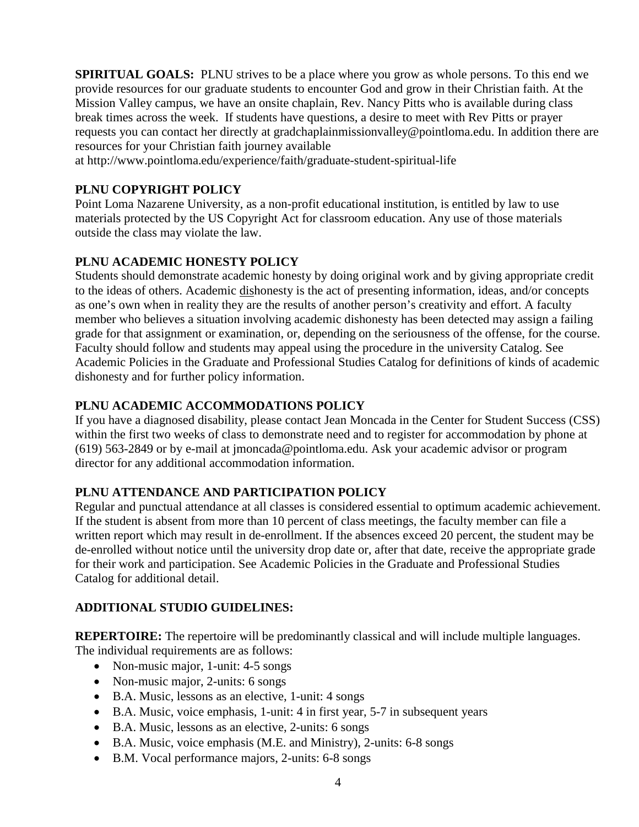**SPIRITUAL GOALS:** PLNU strives to be a place where you grow as whole persons. To this end we provide resources for our graduate students to encounter God and grow in their Christian faith. At the Mission Valley campus, we have an onsite chaplain, Rev. Nancy Pitts who is available during class break times across the week. If students have questions, a desire to meet with Rev Pitts or prayer requests you can contact her directly at gradchaplainmissionvalley@pointloma.edu. In addition there are resources for your Christian faith journey available

at http://www.pointloma.edu/experience/faith/graduate-student-spiritual-life

## **PLNU COPYRIGHT POLICY**

Point Loma Nazarene University, as a non-profit educational institution, is entitled by law to use materials protected by the US Copyright Act for classroom education. Any use of those materials outside the class may violate the law.

## **PLNU ACADEMIC HONESTY POLICY**

Students should demonstrate academic honesty by doing original work and by giving appropriate credit to the ideas of others. Academic dishonesty is the act of presenting information, ideas, and/or concepts as one's own when in reality they are the results of another person's creativity and effort. A faculty member who believes a situation involving academic dishonesty has been detected may assign a failing grade for that assignment or examination, or, depending on the seriousness of the offense, for the course. Faculty should follow and students may appeal using the procedure in the university Catalog. See Academic Policies in the Graduate and Professional Studies Catalog for definitions of kinds of academic dishonesty and for further policy information.

## **PLNU ACADEMIC ACCOMMODATIONS POLICY**

If you have a diagnosed disability, please contact Jean Moncada in the Center for Student Success (CSS) within the first two weeks of class to demonstrate need and to register for accommodation by phone at (619) 563-2849 or by e-mail at jmoncada@pointloma.edu. Ask your academic advisor or program director for any additional accommodation information.

### **PLNU ATTENDANCE AND PARTICIPATION POLICY**

Regular and punctual attendance at all classes is considered essential to optimum academic achievement. If the student is absent from more than 10 percent of class meetings, the faculty member can file a written report which may result in de-enrollment. If the absences exceed 20 percent, the student may be de-enrolled without notice until the university drop date or, after that date, receive the appropriate grade for their work and participation. See Academic Policies in the Graduate and Professional Studies Catalog for additional detail.

### **ADDITIONAL STUDIO GUIDELINES:**

**REPERTOIRE:** The repertoire will be predominantly classical and will include multiple languages. The individual requirements are as follows:

- Non-music major, 1-unit: 4-5 songs
- Non-music major, 2-units: 6 songs
- B.A. Music, lessons as an elective, 1-unit: 4 songs
- B.A. Music, voice emphasis, 1-unit: 4 in first year, 5-7 in subsequent years
- B.A. Music, lessons as an elective, 2-units: 6 songs
- B.A. Music, voice emphasis (M.E. and Ministry), 2-units: 6-8 songs
- B.M. Vocal performance majors, 2-units: 6-8 songs